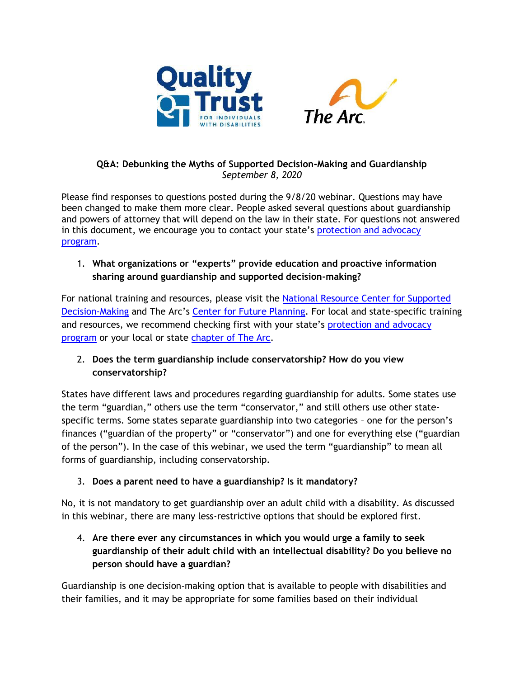



#### **Q&A: Debunking the Myths of Supported Decision-Making and Guardianship** *September 8, 2020*

Please find responses to questions posted during the 9/8/20 webinar. Questions may have been changed to make them more clear. People asked several questions about guardianship and powers of attorney that will depend on the law in their state. For questions not answered in this document, we encourage you to contact your state's protection and advocacy [program.](https://www.ndrn.org/about/ndrn-member-agencies/)

## 1. **What organizations or "experts" provide education and proactive information sharing around guardianship and supported decision-making?**

For national training and resources, please visit the [National Resource Center for Supported](http://www.supporteddecisionmaking.org/)  [Decision-Making](http://www.supporteddecisionmaking.org/) and The Arc's [Center for Future Planning.](https://futureplanning.thearc.org/pages/learn/where-to-start/supporting-daily-and-major-life-decisions) For local and state-specific training and resources, we recommend checking first with your state's protection and advocacy [program](https://www.ndrn.org/about/ndrn-member-agencies/) or your local or state [chapter of The Arc.](https://thearc.org/find-a-chapter/)

## 2. **Does the term guardianship include conservatorship? How do you view conservatorship?**

States have different laws and procedures regarding guardianship for adults. Some states use the term "guardian," others use the term "conservator," and still others use other statespecific terms. Some states separate guardianship into two categories – one for the person's finances ("guardian of the property" or "conservator") and one for everything else ("guardian of the person"). In the case of this webinar, we used the term "guardianship" to mean all forms of guardianship, including conservatorship.

## 3. **Does a parent need to have a guardianship? Is it mandatory?**

No, it is not mandatory to get guardianship over an adult child with a disability. As discussed in this webinar, there are many less-restrictive options that should be explored first.

# 4. **Are there ever any circumstances in which you would urge a family to seek guardianship of their adult child with an intellectual disability? Do you believe no person should have a guardian?**

Guardianship is one decision-making option that is available to people with disabilities and their families, and it may be appropriate for some families based on their individual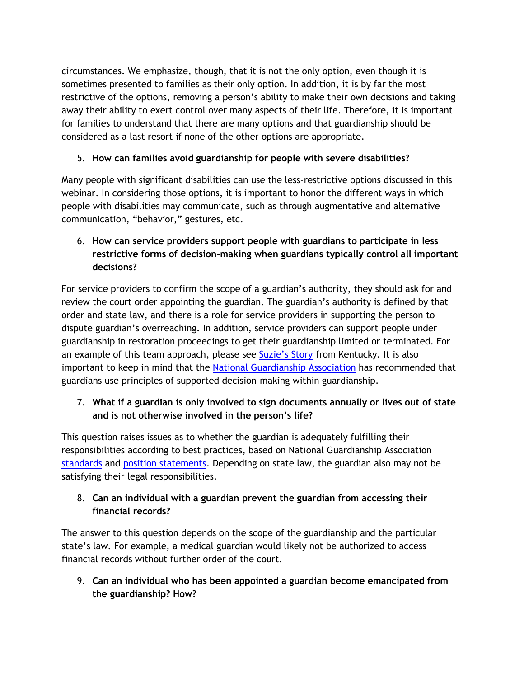circumstances. We emphasize, though, that it is not the only option, even though it is sometimes presented to families as their only option. In addition, it is by far the most restrictive of the options, removing a person's ability to make their own decisions and taking away their ability to exert control over many aspects of their life. Therefore, it is important for families to understand that there are many options and that guardianship should be considered as a last resort if none of the other options are appropriate.

## 5. **How can families avoid guardianship for people with severe disabilities?**

Many people with significant disabilities can use the less-restrictive options discussed in this webinar. In considering those options, it is important to honor the different ways in which people with disabilities may communicate, such as through augmentative and alternative communication, "behavior," gestures, etc.

6. **How can service providers support people with guardians to participate in less restrictive forms of decision-making when guardians typically control all important decisions?**

For service providers to confirm the scope of a guardian's authority, they should ask for and review the court order appointing the guardian. The guardian's authority is defined by that order and state law, and there is a role for service providers in supporting the person to dispute guardian's overreaching. In addition, service providers can support people under guardianship in restoration proceedings to get their guardianship limited or terminated. For an example of this team approach, please see [Suzie's Story](http://supporteddecisionmaking.org/impact-stories/freed-guardianship-kentucky-first-suzie-wins-her-rights-court-using-sdm#:~:text=Court%20Using%20SDM-,Freed%20From%20Guardianship%20A%20Kentucky%20First%3A%20Suzie%20Wins,Rights%20in%20Court%20Using%20SDM&text=Suzanne%20Heck%20wanted%20her%20rights,those%20like%20her%20in%20Kentucky) from Kentucky. It is also important to keep in mind that the [National Guardianship Association](https://www.guardianship.org/wp-content/uploads/2018/09/SupportedDecision_Making_PositionStatement.pdf) has recommended that guardians use principles of supported decision-making within guardianship.

## 7. **What if a guardian is only involved to sign documents annually or lives out of state and is not otherwise involved in the person's life?**

This question raises issues as to whether the guardian is adequately fulfilling their responsibilities according to best practices, based on National Guardianship Association [standards](https://www.guardianship.org/standards/) and [position statements.](https://www.guardianship.org/wp-content/uploads/2018/09/SupportedDecision_Making_PositionStatement.pdf) Depending on state law, the guardian also may not be satisfying their legal responsibilities.

#### 8. **Can an individual with a guardian prevent the guardian from accessing their financial records?**

The answer to this question depends on the scope of the guardianship and the particular state's law. For example, a medical guardian would likely not be authorized to access financial records without further order of the court.

9. **Can an individual who has been appointed a guardian become emancipated from the guardianship? How?**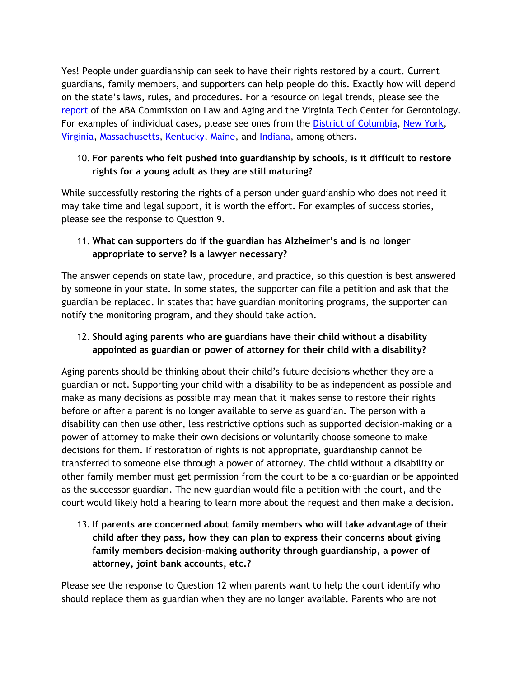Yes! People under guardianship can seek to have their rights restored by a court. Current guardians, family members, and supporters can help people do this. Exactly how will depend on the state's laws, rules, and procedures. For a resource on legal trends, please see the [report](https://www.americanbar.org/content/dam/aba/administrative/law_aging/restoration%20report.authcheckdam.pdf) of the ABA Commission on Law and Aging and the Virginia Tech Center for Gerontology. For examples of individual cases, please see ones from the [District of Columbia,](http://www.supporteddecisionmaking.org/impact-stories/freedom-ryan-king) [New York,](http://www.supporteddecisionmaking.org/state-review/new-york) [Virginia,](http://www.supporteddecisionmaking.org/state-review/virginia) [Massachusetts,](http://www.supporteddecisionmaking.org/state-review/massachusetts) [Kentucky,](http://www.supporteddecisionmaking.org/state-review/kentucky) [Maine,](http://www.supporteddecisionmaking.org/state-review/maine) and [Indiana,](http://www.supporteddecisionmaking.org/state-review/indiana) among others.

#### 10. **For parents who felt pushed into guardianship by schools, is it difficult to restore rights for a young adult as they are still maturing?**

While successfully restoring the rights of a person under guardianship who does not need it may take time and legal support, it is worth the effort. For examples of success stories, please see the response to Question 9.

#### 11. **What can supporters do if the guardian has Alzheimer's and is no longer appropriate to serve? Is a lawyer necessary?**

The answer depends on state law, procedure, and practice, so this question is best answered by someone in your state. In some states, the supporter can file a petition and ask that the guardian be replaced. In states that have guardian monitoring programs, the supporter can notify the monitoring program, and they should take action.

## 12. **Should aging parents who are guardians have their child without a disability appointed as guardian or power of attorney for their child with a disability?**

Aging parents should be thinking about their child's future decisions whether they are a guardian or not. Supporting your child with a disability to be as independent as possible and make as many decisions as possible may mean that it makes sense to restore their rights before or after a parent is no longer available to serve as guardian. The person with a disability can then use other, less restrictive options such as supported decision-making or a power of attorney to make their own decisions or voluntarily choose someone to make decisions for them. If restoration of rights is not appropriate, guardianship cannot be transferred to someone else through a power of attorney. The child without a disability or other family member must get permission from the court to be a co-guardian or be appointed as the successor guardian. The new guardian would file a petition with the court, and the court would likely hold a hearing to learn more about the request and then make a decision.

13. **If parents are concerned about family members who will take advantage of their child after they pass, how they can plan to express their concerns about giving family members decision-making authority through guardianship, a power of attorney, joint bank accounts, etc.?**

Please see the response to Question 12 when parents want to help the court identify who should replace them as guardian when they are no longer available. Parents who are not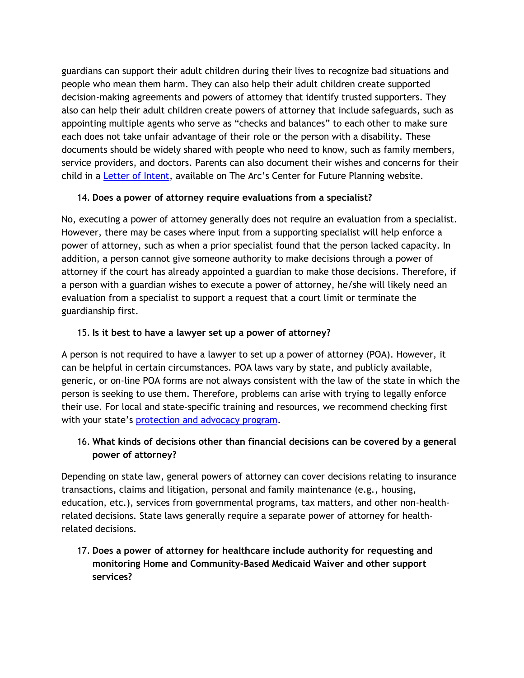guardians can support their adult children during their lives to recognize bad situations and people who mean them harm. They can also help their adult children create supported decision-making agreements and powers of attorney that identify trusted supporters. They also can help their adult children create powers of attorney that include safeguards, such as appointing multiple agents who serve as "checks and balances" to each other to make sure each does not take unfair advantage of their role or the person with a disability. These documents should be widely shared with people who need to know, such as family members, service providers, and doctors. Parents can also document their wishes and concerns for their child in a [Letter of Intent](https://futureplanning.thearc.org/assets/CFP-LOI-225742be9adf0a44017a713dd7ec0d7c2e79514bb29f592a45e4b446e02a52c4.pdf), available on The Arc's Center for Future Planning website.

#### 14. **Does a power of attorney require evaluations from a specialist?**

No, executing a power of attorney generally does not require an evaluation from a specialist. However, there may be cases where input from a supporting specialist will help enforce a power of attorney, such as when a prior specialist found that the person lacked capacity. In addition, a person cannot give someone authority to make decisions through a power of attorney if the court has already appointed a guardian to make those decisions. Therefore, if a person with a guardian wishes to execute a power of attorney, he/she will likely need an evaluation from a specialist to support a request that a court limit or terminate the guardianship first.

#### 15. **Is it best to have a lawyer set up a power of attorney?**

A person is not required to have a lawyer to set up a power of attorney (POA). However, it can be helpful in certain circumstances. POA laws vary by state, and publicly available, generic, or on-line POA forms are not always consistent with the law of the state in which the person is seeking to use them. Therefore, problems can arise with trying to legally enforce their use. For local and state-specific training and resources, we recommend checking first with your state's [protection and advocacy program.](https://www.ndrn.org/about/ndrn-member-agencies/)

## 16. **What kinds of decisions other than financial decisions can be covered by a general power of attorney?**

Depending on state law, general powers of attorney can cover decisions relating to insurance transactions, claims and litigation, personal and family maintenance (e.g., housing, education, etc.), services from governmental programs, tax matters, and other non-healthrelated decisions. State laws generally require a separate power of attorney for healthrelated decisions.

17. **Does a power of attorney for healthcare include authority for requesting and monitoring Home and Community-Based Medicaid Waiver and other support services?**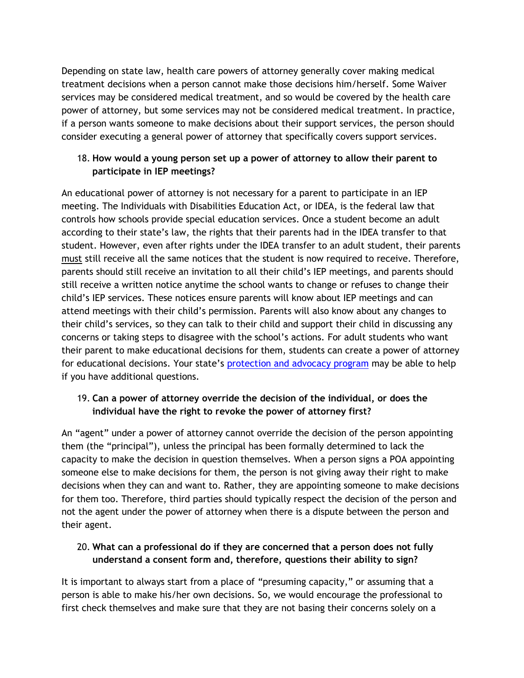Depending on state law, health care powers of attorney generally cover making medical treatment decisions when a person cannot make those decisions him/herself. Some Waiver services may be considered medical treatment, and so would be covered by the health care power of attorney, but some services may not be considered medical treatment. In practice, if a person wants someone to make decisions about their support services, the person should consider executing a general power of attorney that specifically covers support services.

#### 18. **How would a young person set up a power of attorney to allow their parent to participate in IEP meetings?**

An educational power of attorney is not necessary for a parent to participate in an IEP meeting. The Individuals with Disabilities Education Act, or IDEA, is the federal law that controls how schools provide special education services. Once a student become an adult according to their state's law, the rights that their parents had in the IDEA transfer to that student. However, even after rights under the IDEA transfer to an adult student, their parents must still receive all the same notices that the student is now required to receive. Therefore, parents should still receive an invitation to all their child's IEP meetings, and parents should still receive a written notice anytime the school wants to change or refuses to change their child's IEP services. These notices ensure parents will know about IEP meetings and can attend meetings with their child's permission. Parents will also know about any changes to their child's services, so they can talk to their child and support their child in discussing any concerns or taking steps to disagree with the school's actions. For adult students who want their parent to make educational decisions for them, students can create a power of attorney for educational decisions. Your state's [protection and advocacy program](https://www.ndrn.org/about/ndrn-member-agencies/) may be able to help if you have additional questions.

## 19. **Can a power of attorney override the decision of the individual, or does the individual have the right to revoke the power of attorney first?**

An "agent" under a power of attorney cannot override the decision of the person appointing them (the "principal"), unless the principal has been formally determined to lack the capacity to make the decision in question themselves. When a person signs a POA appointing someone else to make decisions for them, the person is not giving away their right to make decisions when they can and want to. Rather, they are appointing someone to make decisions for them too. Therefore, third parties should typically respect the decision of the person and not the agent under the power of attorney when there is a dispute between the person and their agent.

## 20. **What can a professional do if they are concerned that a person does not fully understand a consent form and, therefore, questions their ability to sign?**

It is important to always start from a place of "presuming capacity," or assuming that a person is able to make his/her own decisions. So, we would encourage the professional to first check themselves and make sure that they are not basing their concerns solely on a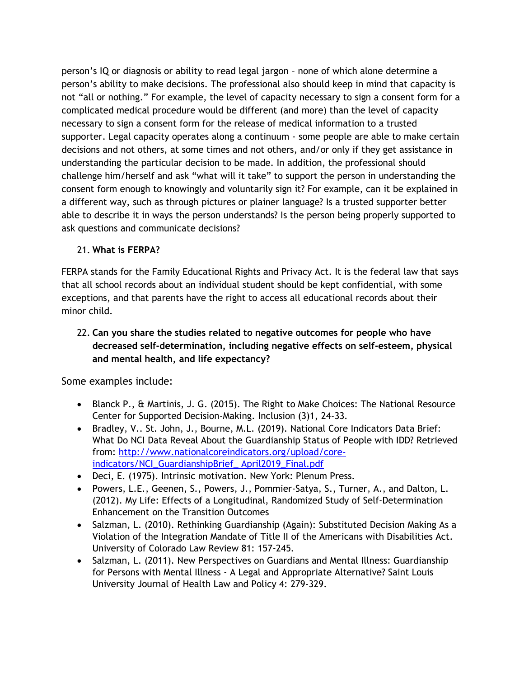person's IQ or diagnosis or ability to read legal jargon – none of which alone determine a person's ability to make decisions. The professional also should keep in mind that capacity is not "all or nothing." For example, the level of capacity necessary to sign a consent form for a complicated medical procedure would be different (and more) than the level of capacity necessary to sign a consent form for the release of medical information to a trusted supporter. Legal capacity operates along a continuum - some people are able to make certain decisions and not others, at some times and not others, and/or only if they get assistance in understanding the particular decision to be made. In addition, the professional should challenge him/herself and ask "what will it take" to support the person in understanding the consent form enough to knowingly and voluntarily sign it? For example, can it be explained in a different way, such as through pictures or plainer language? Is a trusted supporter better able to describe it in ways the person understands? Is the person being properly supported to ask questions and communicate decisions?

#### 21. **What is FERPA?**

FERPA stands for the Family Educational Rights and Privacy Act. It is the federal law that says that all school records about an individual student should be kept confidential, with some exceptions, and that parents have the right to access all educational records about their minor child.

## 22. **Can you share the studies related to negative outcomes for people who have decreased self-determination, including negative effects on self-esteem, physical and mental health, and life expectancy?**

Some examples include:

- Blanck P., & Martinis, J. G. (2015). The Right to Make Choices: The National Resource Center for Supported Decision-Making. Inclusion (3)1, 24-33.
- Bradley, V.. St. John, J., Bourne, M.L. (2019). National Core Indicators Data Brief: What Do NCI Data Reveal About the Guardianship Status of People with IDD? Retrieved from: [http://www.nationalcoreindicators.org/upload/core](http://www.nationalcoreindicators.org/upload/core-indicators/NCI_GuardianshipBrief_%20April2019_Final.pdf)[indicators/NCI\\_GuardianshipBrief\\_ April2019\\_Final.pdf](http://www.nationalcoreindicators.org/upload/core-indicators/NCI_GuardianshipBrief_%20April2019_Final.pdf)
- Deci, E. (1975). Intrinsic motivation. New York: Plenum Press.
- Powers, L.E., Geenen, S., Powers, J., Pommier-Satya, S., Turner, A., and Dalton, L. (2012). My Life: Effects of a Longitudinal, Randomized Study of Self-Determination Enhancement on the Transition Outcomes
- Salzman, L. (2010). Rethinking Guardianship (Again): Substituted Decision Making As a Violation of the Integration Mandate of Title II of the Americans with Disabilities Act. University of Colorado Law Review 81: 157-245.
- Salzman, L. (2011). New Perspectives on Guardians and Mental Illness: Guardianship for Persons with Mental Illness - A Legal and Appropriate Alternative? Saint Louis University Journal of Health Law and Policy 4: 279-329.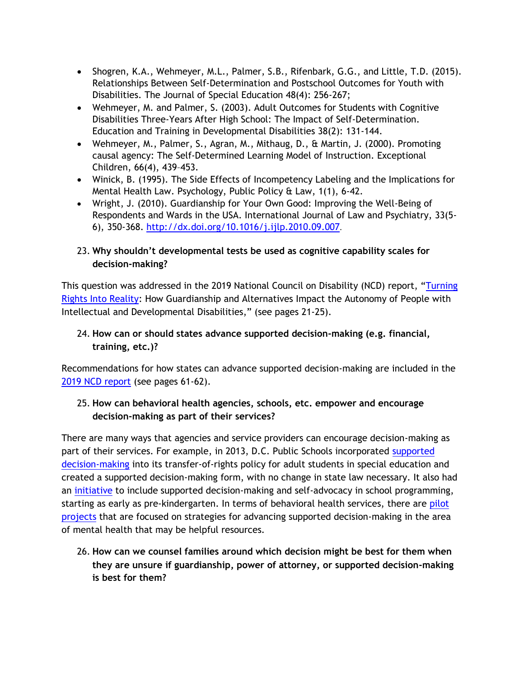- Shogren, K.A., Wehmeyer, M.L., Palmer, S.B., Rifenbark, G.G., and Little, T.D. (2015). Relationships Between Self-Determination and Postschool Outcomes for Youth with Disabilities. The Journal of Special Education 48(4): 256-267;
- Wehmeyer, M. and Palmer, S. (2003). Adult Outcomes for Students with Cognitive Disabilities Three-Years After High School: The Impact of Self-Determination. Education and Training in Developmental Disabilities 38(2): 131-144.
- Wehmeyer, M., Palmer, S., Agran, M., Mithaug, D., & Martin, J. (2000). Promoting causal agency: The Self-Determined Learning Model of Instruction. Exceptional Children, 66(4), 439–453.
- Winick, B. (1995). The Side Effects of Incompetency Labeling and the Implications for Mental Health Law. Psychology, Public Policy & Law, 1(1), 6-42.
- Wright, J. (2010). Guardianship for Your Own Good: Improving the Well-Being of Respondents and Wards in the USA. International Journal of Law and Psychiatry, 33(5- 6), 350-368.<http://dx.doi.org/10.1016/j.ijlp.2010.09.007>.

## 23. **Why shouldn't developmental tests be used as cognitive capability scales for decision-making?**

This question was addressed in the 2019 National Council on Disability (NCD) report, "[Turning](https://ncd.gov/sites/default/files/NCD_Turning-Rights-into-Reality_508_0.pdf)  [Rights Into Reality:](https://ncd.gov/sites/default/files/NCD_Turning-Rights-into-Reality_508_0.pdf) How Guardianship and Alternatives Impact the Autonomy of People with Intellectual and Developmental Disabilities," (see pages 21-25).

## 24. **How can or should states advance supported decision-making (e.g. financial, training, etc.)?**

Recommendations for how states can advance supported decision-making are included in the [2019 NCD report](https://ncd.gov/sites/default/files/NCD_Turning-Rights-into-Reality_508_0.pdf) (see pages 61-62).

# 25. **How can behavioral health agencies, schools, etc. empower and encourage decision-making as part of their services?**

There are many ways that agencies and service providers can encourage decision-making as part of their services. For example, in 2013, D.C. Public Schools incorporated supported [decision-making](https://dcps.dc.gov/page/supported-decision-making) into its transfer-of-rights policy for adult students in special education and created a supported decision-making form, with no change in state law necessary. It also had an [initiative](http://www.supporteddecisionmaking.org/sites/default/files/event_files/041615_ppt_handouts.pdf) to include supported decision-making and self-advocacy in school programming, starting as early as pre-kindergarten. In terms of behavioral health services, there are pilot [projects](https://www.thebatterysf.com/batterypowered/givingproject/the-saks-institute-for-mental-health-law-policy-ethics) that are focused on strategies for advancing supported decision-making in the area of mental health that may be helpful resources.

26. **How can we counsel families around which decision might be best for them when they are unsure if guardianship, power of attorney, or supported decision-making is best for them?**